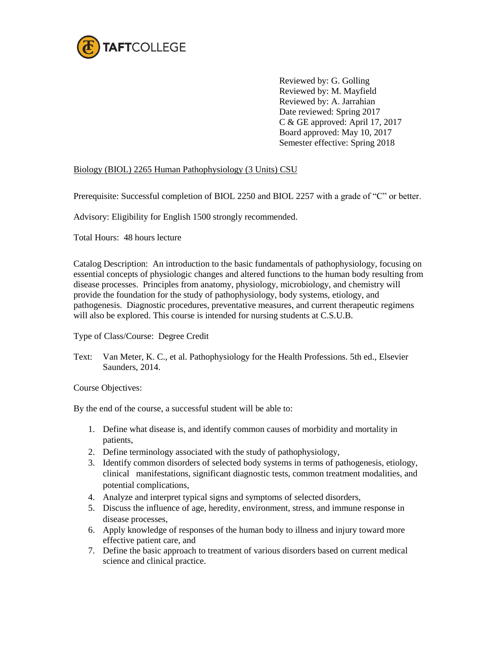

Reviewed by: G. Golling Reviewed by: M. Mayfield Reviewed by: A. Jarrahian Date reviewed: Spring 2017 C & GE approved: April 17, 2017 Board approved: May 10, 2017 Semester effective: Spring 2018

## Biology (BIOL) 2265 Human Pathophysiology (3 Units) CSU

Prerequisite: Successful completion of BIOL 2250 and BIOL 2257 with a grade of "C" or better.

Advisory: Eligibility for English 1500 strongly recommended.

Total Hours: 48 hours lecture

Catalog Description: An introduction to the basic fundamentals of pathophysiology, focusing on essential concepts of physiologic changes and altered functions to the human body resulting from disease processes. Principles from anatomy, physiology, microbiology, and chemistry will provide the foundation for the study of pathophysiology, body systems, etiology, and pathogenesis. Diagnostic procedures, preventative measures, and current therapeutic regimens will also be explored. This course is intended for nursing students at C.S.U.B.

Type of Class/Course: Degree Credit

Text: Van Meter, K. C., et al. Pathophysiology for the Health Professions. 5th ed., Elsevier Saunders, 2014.

Course Objectives:

By the end of the course, a successful student will be able to:

- 1. Define what disease is, and identify common causes of morbidity and mortality in patients,
- 2. Define terminology associated with the study of pathophysiology,
- 3. Identify common disorders of selected body systems in terms of pathogenesis, etiology, clinical manifestations, significant diagnostic tests, common treatment modalities, and potential complications,
- 4. Analyze and interpret typical signs and symptoms of selected disorders,
- 5. Discuss the influence of age, heredity, environment, stress, and immune response in disease processes,
- 6. Apply knowledge of responses of the human body to illness and injury toward more effective patient care, and
- 7. Define the basic approach to treatment of various disorders based on current medical science and clinical practice.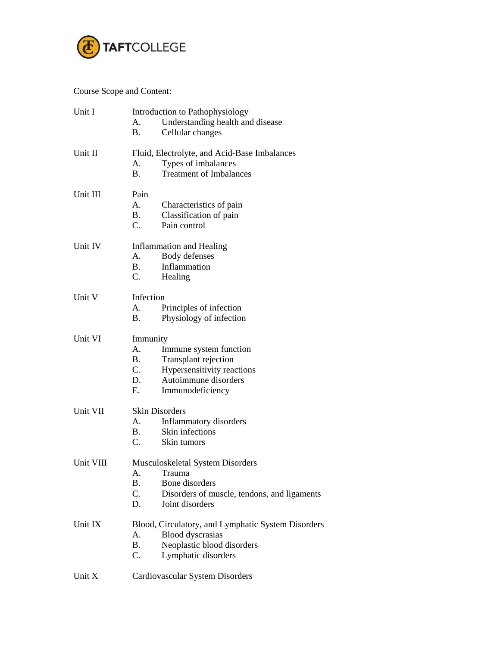

Course Scope and Content:

| Unit I    | Introduction to Pathophysiology  |                                                    |  |  |
|-----------|----------------------------------|----------------------------------------------------|--|--|
|           | А.                               | Understanding health and disease                   |  |  |
|           | B.                               | Cellular changes                                   |  |  |
| Unit II   |                                  | Fluid, Electrolyte, and Acid-Base Imbalances       |  |  |
|           | А.                               | Types of imbalances                                |  |  |
|           | <b>B.</b>                        | <b>Treatment of Imbalances</b>                     |  |  |
| Unit III  | Pain                             |                                                    |  |  |
|           | A.                               | Characteristics of pain                            |  |  |
|           | <b>B.</b>                        | Classification of pain                             |  |  |
|           | $C_{\cdot}$                      | Pain control                                       |  |  |
| Unit IV   | Inflammation and Healing         |                                                    |  |  |
|           | А.                               | Body defenses                                      |  |  |
|           | <b>B.</b>                        | Inflammation                                       |  |  |
|           | C.                               | Healing                                            |  |  |
| Unit V    | Infection                        |                                                    |  |  |
|           | А.                               | Principles of infection                            |  |  |
|           | В.                               | Physiology of infection                            |  |  |
| Unit VI   | Immunity                         |                                                    |  |  |
|           | A.                               | Immune system function                             |  |  |
|           | В.                               | Transplant rejection                               |  |  |
|           | C.                               | Hypersensitivity reactions                         |  |  |
|           | D.                               | Autoimmune disorders                               |  |  |
|           | Ε.                               | Immunodeficiency                                   |  |  |
| Unit VII  | <b>Skin Disorders</b>            |                                                    |  |  |
|           | A.                               | Inflammatory disorders                             |  |  |
|           | $\mathbf{B}$ .                   | Skin infections                                    |  |  |
|           | C.                               | Skin tumors                                        |  |  |
| Unit VIII | Musculoskeletal System Disorders |                                                    |  |  |
|           | A.                               | Trauma                                             |  |  |
|           | B.                               | Bone disorders                                     |  |  |
|           | C.                               | Disorders of muscle, tendons, and ligaments        |  |  |
|           | D.                               | Joint disorders                                    |  |  |
| Unit IX   |                                  | Blood, Circulatory, and Lymphatic System Disorders |  |  |
|           | A.                               | <b>Blood</b> dyscrasias                            |  |  |
|           | Β.                               | Neoplastic blood disorders                         |  |  |
|           | C.                               | Lymphatic disorders                                |  |  |
| Unit X    |                                  | Cardiovascular System Disorders                    |  |  |
|           |                                  |                                                    |  |  |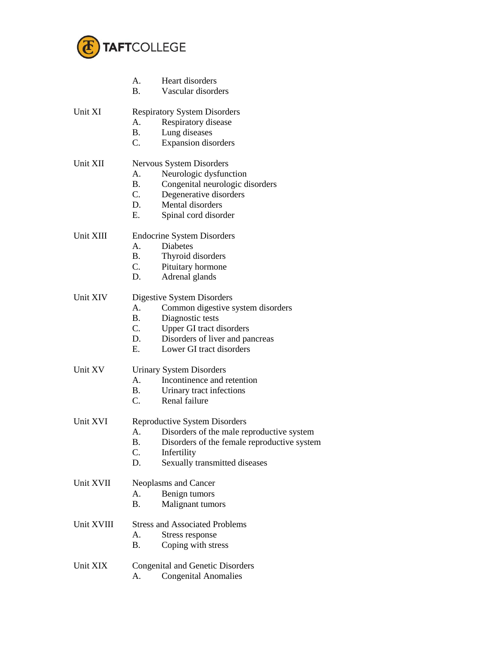

|            | А.<br><b>B.</b>                         | Heart disorders<br>Vascular disorders       |  |  |
|------------|-----------------------------------------|---------------------------------------------|--|--|
|            |                                         |                                             |  |  |
| Unit XI    | А.                                      | <b>Respiratory System Disorders</b>         |  |  |
|            | <b>B.</b>                               | Respiratory disease                         |  |  |
|            | $C_{\cdot}$                             | Lung diseases<br><b>Expansion</b> disorders |  |  |
|            |                                         |                                             |  |  |
| Unit XII   | Nervous System Disorders                |                                             |  |  |
|            | A.                                      | Neurologic dysfunction                      |  |  |
|            | <b>B.</b>                               | Congenital neurologic disorders             |  |  |
|            | C.                                      | Degenerative disorders                      |  |  |
|            | D.                                      | Mental disorders                            |  |  |
|            | E.                                      | Spinal cord disorder                        |  |  |
| Unit XIII  |                                         | <b>Endocrine System Disorders</b>           |  |  |
|            | А.                                      | Diabetes                                    |  |  |
|            | <b>B.</b>                               | Thyroid disorders                           |  |  |
|            | $C_{\cdot}$                             | Pituitary hormone                           |  |  |
|            | D.                                      | Adrenal glands                              |  |  |
| Unit XIV   | Digestive System Disorders              |                                             |  |  |
|            | А.                                      | Common digestive system disorders           |  |  |
|            | <b>B.</b>                               | Diagnostic tests                            |  |  |
|            | C.                                      | Upper GI tract disorders                    |  |  |
|            | D.                                      | Disorders of liver and pancreas             |  |  |
|            | Е.                                      | Lower GI tract disorders                    |  |  |
| Unit XV    | <b>Urinary System Disorders</b>         |                                             |  |  |
|            | A.                                      | Incontinence and retention                  |  |  |
|            | <b>B.</b>                               | Urinary tract infections                    |  |  |
|            | C.                                      | Renal failure                               |  |  |
| Unit XVI   | Reproductive System Disorders           |                                             |  |  |
|            | А.                                      | Disorders of the male reproductive system   |  |  |
|            | B.                                      | Disorders of the female reproductive system |  |  |
|            | C.                                      | Infertility                                 |  |  |
|            | D.                                      | Sexually transmitted diseases               |  |  |
| Unit XVII  | Neoplasms and Cancer                    |                                             |  |  |
|            | A.                                      |                                             |  |  |
|            | В.                                      | Benign tumors<br>Malignant tumors           |  |  |
|            |                                         |                                             |  |  |
| Unit XVIII |                                         | <b>Stress and Associated Problems</b>       |  |  |
|            | А.                                      | Stress response                             |  |  |
|            | B.                                      | Coping with stress                          |  |  |
| Unit XIX   | <b>Congenital and Genetic Disorders</b> |                                             |  |  |
|            | А.                                      | <b>Congenital Anomalies</b>                 |  |  |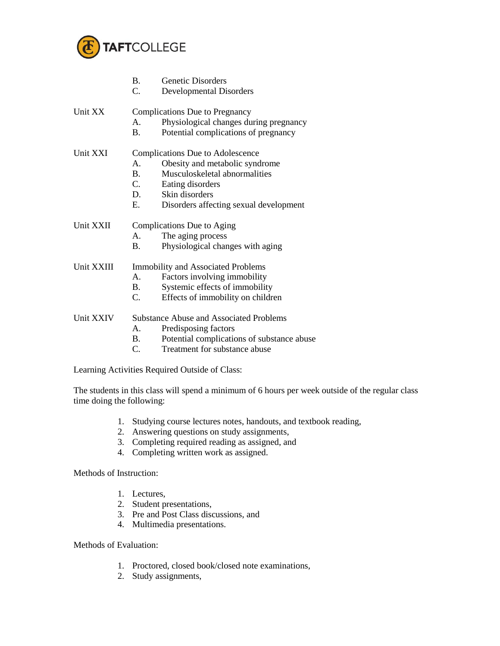

|            | <b>B.</b><br>C.                                | <b>Genetic Disorders</b><br><b>Developmental Disorders</b> |  |
|------------|------------------------------------------------|------------------------------------------------------------|--|
| Unit XX    |                                                | <b>Complications Due to Pregnancy</b>                      |  |
|            | $\mathsf{A}$ .                                 | Physiological changes during pregnancy                     |  |
|            | B.                                             | Potential complications of pregnancy                       |  |
| Unit XXI   | Complications Due to Adolescence               |                                                            |  |
|            | A.                                             | Obesity and metabolic syndrome                             |  |
|            | $\mathbf{B}$ .                                 | Musculoskeletal abnormalities                              |  |
|            | C.                                             | Eating disorders                                           |  |
|            | D.                                             | Skin disorders                                             |  |
|            | Е.                                             | Disorders affecting sexual development                     |  |
| Unit XXII  | Complications Due to Aging                     |                                                            |  |
|            | $A_{-}$                                        | The aging process                                          |  |
|            | B.                                             | Physiological changes with aging                           |  |
| Unit XXIII | <b>Immobility and Associated Problems</b>      |                                                            |  |
|            | $A_{-}$                                        | Factors involving immobility                               |  |
|            | B.                                             | Systemic effects of immobility                             |  |
|            | C.                                             | Effects of immobility on children                          |  |
| Unit XXIV  | <b>Substance Abuse and Associated Problems</b> |                                                            |  |
|            | A.                                             | Predisposing factors                                       |  |
|            | B.                                             | Potential complications of substance abuse                 |  |
|            | C.                                             | Treatment for substance abuse                              |  |
|            |                                                |                                                            |  |

Learning Activities Required Outside of Class:

The students in this class will spend a minimum of 6 hours per week outside of the regular class time doing the following:

- 1. Studying course lectures notes, handouts, and textbook reading,
- 2. Answering questions on study assignments,
- 3. Completing required reading as assigned, and
- 4. Completing written work as assigned.

Methods of Instruction:

- 1. Lectures,
- 2. Student presentations,
- 3. Pre and Post Class discussions, and
- 4. Multimedia presentations.

Methods of Evaluation:

- 1. Proctored, closed book/closed note examinations,
- 2. Study assignments,